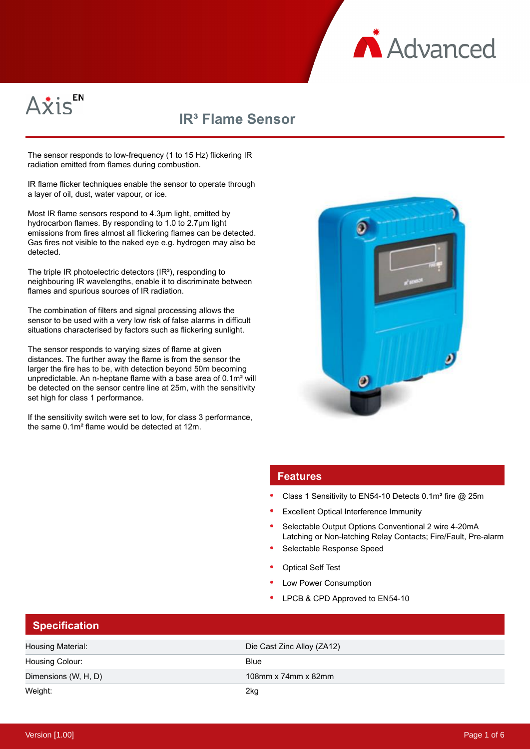



# **IR³ Flame Sensor**

The sensor responds to low-frequency (1 to 15 Hz) flickering IR radiation emitted from flames during combustion.

IR flame flicker techniques enable the sensor to operate through a layer of oil, dust, water vapour, or ice.

Most IR flame sensors respond to 4.3μm light, emitted by hydrocarbon flames. By responding to 1.0 to 2.7μm light emissions from fires almost all flickering flames can be detected. Gas fires not visible to the naked eye e.g. hydrogen may also be detected.

The triple IR photoelectric detectors (IR<sup>3</sup>), responding to neighbouring IR wavelengths, enable it to discriminate between flames and spurious sources of IR radiation.

The combination of filters and signal processing allows the sensor to be used with a very low risk of false alarms in difficult situations characterised by factors such as flickering sunlight.

The sensor responds to varying sizes of flame at given distances. The further away the flame is from the sensor the larger the fire has to be, with detection beyond 50m becoming unpredictable. An n-heptane flame with a base area of 0.1m² will be detected on the sensor centre line at 25m, with the sensitivity set high for class 1 performance.

If the sensitivity switch were set to low, for class 3 performance, the same 0.1m² flame would be detected at 12m.



## **Features**

- Class 1 Sensitivity to EN54-10 Detects 0.1m² fire @ 25m
- Excellent Optical Interference Immunity
- Selectable Output Options Conventional 2 wire 4-20mA Latching or Non-latching Relay Contacts; Fire/Fault, Pre-alarm
- Selectable Response Speed
- Optical Self Test
- Low Power Consumption
- LPCB & CPD Approved to EN54-10

| │ Specification      |                            |
|----------------------|----------------------------|
| Housing Material:    | Die Cast Zinc Alloy (ZA12) |
| Housing Colour:      | Blue                       |
| Dimensions (W, H, D) | 108mm x $74$ mm x 82mm     |

Weight: 2kg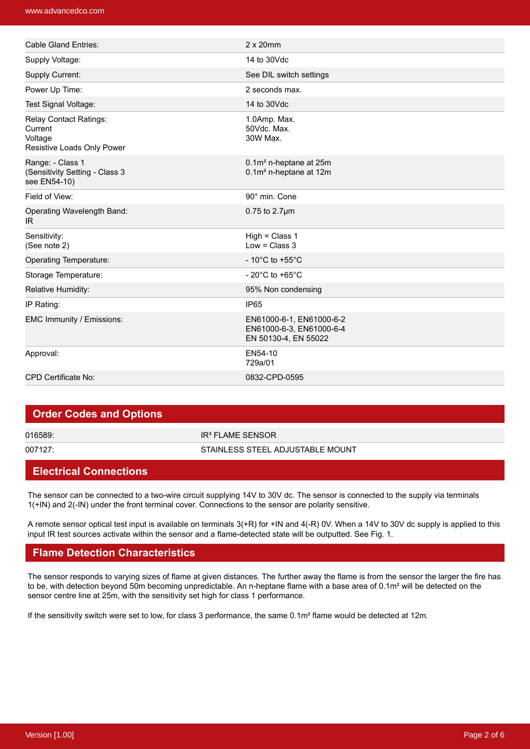| Cable Gland Entries:                                                              | $2 \times 20$ mm                                                             |
|-----------------------------------------------------------------------------------|------------------------------------------------------------------------------|
| Supply Voltage:                                                                   | 14 to 30Vdc                                                                  |
| Supply Current:                                                                   | See DIL switch settings                                                      |
| Power Up Time:                                                                    | 2 seconds max.                                                               |
| Test Signal Voltage:                                                              | 14 to 30Vdc                                                                  |
| <b>Relay Contact Ratings:</b><br>Current<br>Voltage<br>Resistive Loads Only Power | 1.0Amp. Max.<br>50Vdc. Max.<br>30W Max.                                      |
| Range: - Class 1<br>(Sensitivity Setting - Class 3<br>see EN54-10)                | 0.1m <sup>2</sup> n-heptane at 25m<br>0.1m <sup>2</sup> n-heptane at 12m     |
| Field of View:                                                                    | 90° min. Cone                                                                |
| Operating Wavelength Band:<br>IR                                                  | $0.75$ to $2.7 \mu m$                                                        |
| Sensitivity:<br>(See note 2)                                                      | $High = Class 1$<br>Low = $Class 3$                                          |
| Operating Temperature:                                                            | - 10 $^{\circ}$ C to +55 $^{\circ}$ C                                        |
| Storage Temperature:                                                              | - 20 $^{\circ}$ C to +65 $^{\circ}$ C                                        |
| Relative Humidity:                                                                | 95% Non condensing                                                           |
| IP Rating:                                                                        | IP <sub>65</sub>                                                             |
| EMC Immunity / Emissions:                                                         | EN61000-6-1, EN61000-6-2<br>EN61000-6-3, EN61000-6-4<br>EN 50130-4, EN 55022 |
| Approval:                                                                         | EN54-10<br>729a/01                                                           |
| <b>CPD Certificate No:</b>                                                        | 0832-CPD-0595                                                                |

| <b>Order Codes and Options</b> |                                  |
|--------------------------------|----------------------------------|
| 016589:                        | IR <sup>3</sup> FLAME SENSOR     |
| 007127:                        | STAINLESS STEEL ADJUSTABLE MOUNT |
| しましょう しょうしょう あいしょう しょうしょう      |                                  |

## **Electrical Connections**

The sensor can be connected to a two-wire circuit supplying 14V to 30V dc. The sensor is connected to the supply via terminals 1(+IN) and 2(-IN) under the front terminal cover. Connections to the sensor are polarity sensitive.

A remote sensor optical test input is available on terminals 3(+R) for +IN and 4(-R) 0V. When a 14V to 30V dc supply is applied to this input IR test sources activate within the sensor and a flame-detected state will be outputted. See Fig. 1.

## **Flame Detection Characteristics**

The sensor responds to varying sizes of flame at given distances. The further away the flame is from the sensor the larger the fire has to be, with detection beyond 50m becoming unpredictable. An n-heptane flame with a base area of 0.1m<sup>2</sup> will be detected on the sensor centre line at 25m, with the sensitivity set high for class 1 performance.

If the sensitivity switch were set to low, for class 3 performance, the same 0.1m² flame would be detected at 12m.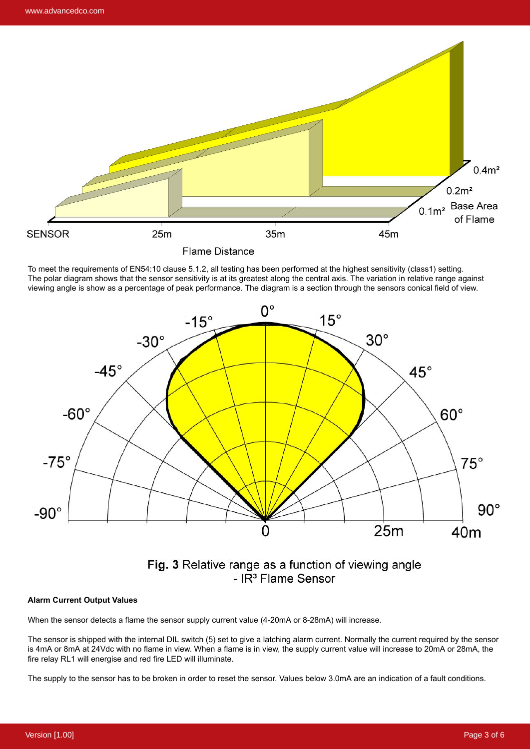

To meet the requirements of EN54:10 clause 5.1.2, all testing has been performed at the highest sensitivity (class1) setting. The polar diagram shows that the sensor sensitivity is at its greatest along the central axis. The variation in relative range against viewing angle is show as a percentage of peak performance. The diagram is a section through the sensors conical field of view.



Fig. 3 Relative range as a function of viewing angle - IR<sup>3</sup> Flame Sensor

#### **Alarm Current Output Values**

When the sensor detects a flame the sensor supply current value (4-20mA or 8-28mA) will increase.

The sensor is shipped with the internal DIL switch (5) set to give a latching alarm current. Normally the current required by the sensor is 4mA or 8mA at 24Vdc with no flame in view. When a flame is in view, the supply current value will increase to 20mA or 28mA, the fire relay RL1 will energise and red fire LED will illuminate.

The supply to the sensor has to be broken in order to reset the sensor. Values below 3.0mA are an indication of a fault conditions.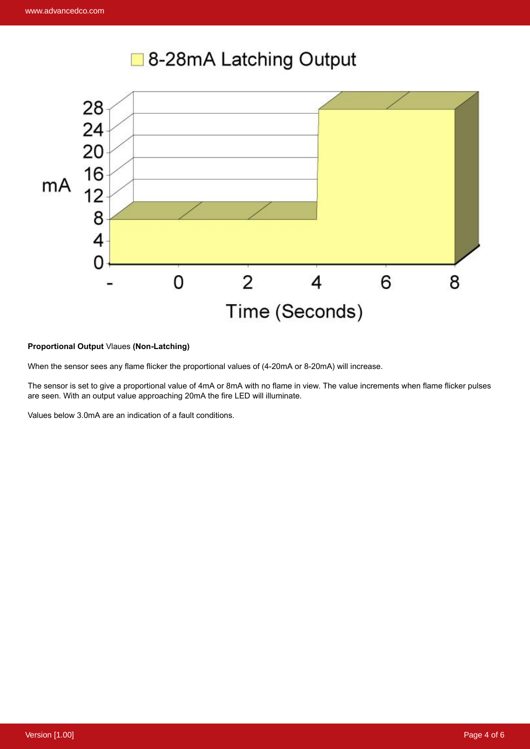



#### **Proportional Output** Vlaues **(Non-Latching)**

When the sensor sees any flame flicker the proportional values of (4-20mA or 8-20mA) will increase.

The sensor is set to give a proportional value of 4mA or 8mA with no flame in view. The value increments when flame flicker pulses are seen. With an output value approaching 20mA the fire LED will illuminate.

Values below 3.0mA are an indication of a fault conditions.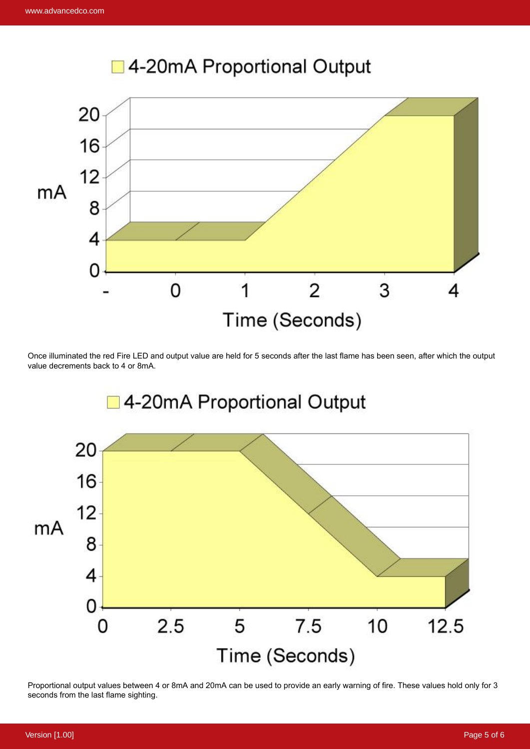



Once illuminated the red Fire LED and output value are held for 5 seconds after the last flame has been seen, after which the output value decrements back to 4 or 8mA.



Proportional output values between 4 or 8mA and 20mA can be used to provide an early warning of fire. These values hold only for 3 seconds from the last flame sighting.